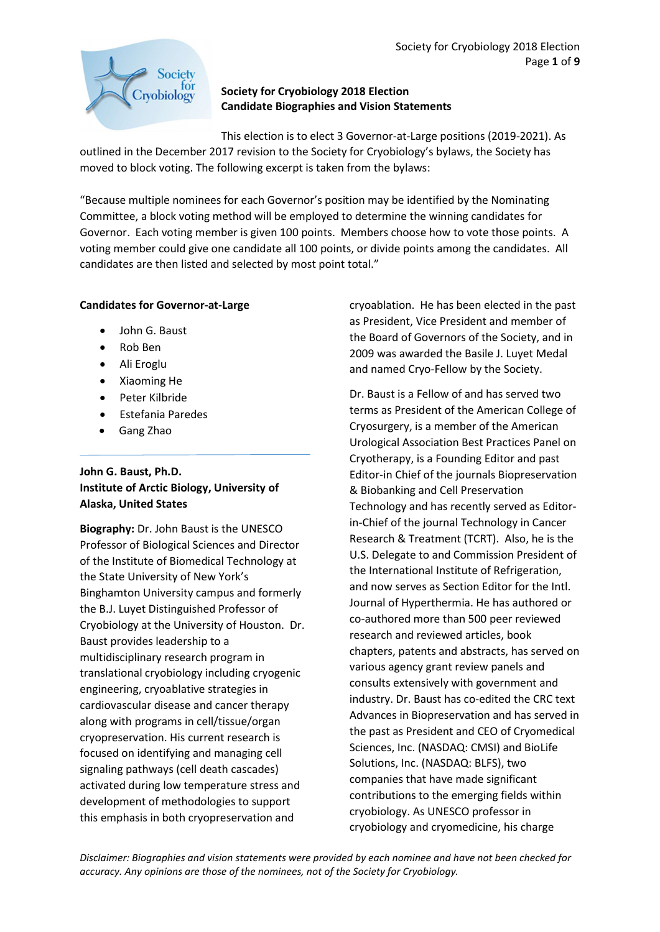

## Society for Cryobiology 2018 Election Candidate Biographies and Vision Statements

This election is to elect 3 Governor-at-Large positions (2019-2021). As outlined in the December 2017 revision to the Society for Cryobiology's bylaws, the Society has moved to block voting. The following excerpt is taken from the bylaws:

"Because multiple nominees for each Governor's position may be identified by the Nominating Committee, a block voting method will be employed to determine the winning candidates for Governor. Each voting member is given 100 points. Members choose how to vote those points. A voting member could give one candidate all 100 points, or divide points among the candidates. All candidates are then listed and selected by most point total."

# Candidates for Governor-at-Large

- John G. Baust
- Rob Ben
- Ali Eroglu
- Xiaoming He
- Peter Kilbride
- Estefania Paredes
- Gang Zhao

### John G. Baust, Ph.D. Institute of Arctic Biology, University of Alaska, United States

Biography: Dr. John Baust is the UNESCO Professor of Biological Sciences and Director of the Institute of Biomedical Technology at the State University of New York's Binghamton University campus and formerly the B.J. Luyet Distinguished Professor of Cryobiology at the University of Houston. Dr. Baust provides leadership to a multidisciplinary research program in translational cryobiology including cryogenic engineering, cryoablative strategies in cardiovascular disease and cancer therapy along with programs in cell/tissue/organ cryopreservation. His current research is focused on identifying and managing cell signaling pathways (cell death cascades) activated during low temperature stress and development of methodologies to support this emphasis in both cryopreservation and

cryoablation. He has been elected in the past as President, Vice President and member of the Board of Governors of the Society, and in 2009 was awarded the Basile J. Luyet Medal and named Cryo-Fellow by the Society.

Dr. Baust is a Fellow of and has served two terms as President of the American College of Cryosurgery, is a member of the American Urological Association Best Practices Panel on Cryotherapy, is a Founding Editor and past Editor-in Chief of the journals Biopreservation & Biobanking and Cell Preservation Technology and has recently served as Editorin-Chief of the journal Technology in Cancer Research & Treatment (TCRT). Also, he is the U.S. Delegate to and Commission President of the International Institute of Refrigeration, and now serves as Section Editor for the Intl. Journal of Hyperthermia. He has authored or co-authored more than 500 peer reviewed research and reviewed articles, book chapters, patents and abstracts, has served on various agency grant review panels and consults extensively with government and industry. Dr. Baust has co-edited the CRC text Advances in Biopreservation and has served in the past as President and CEO of Cryomedical Sciences, Inc. (NASDAQ: CMSI) and BioLife Solutions, Inc. (NASDAQ: BLFS), two companies that have made significant contributions to the emerging fields within cryobiology. As UNESCO professor in cryobiology and cryomedicine, his charge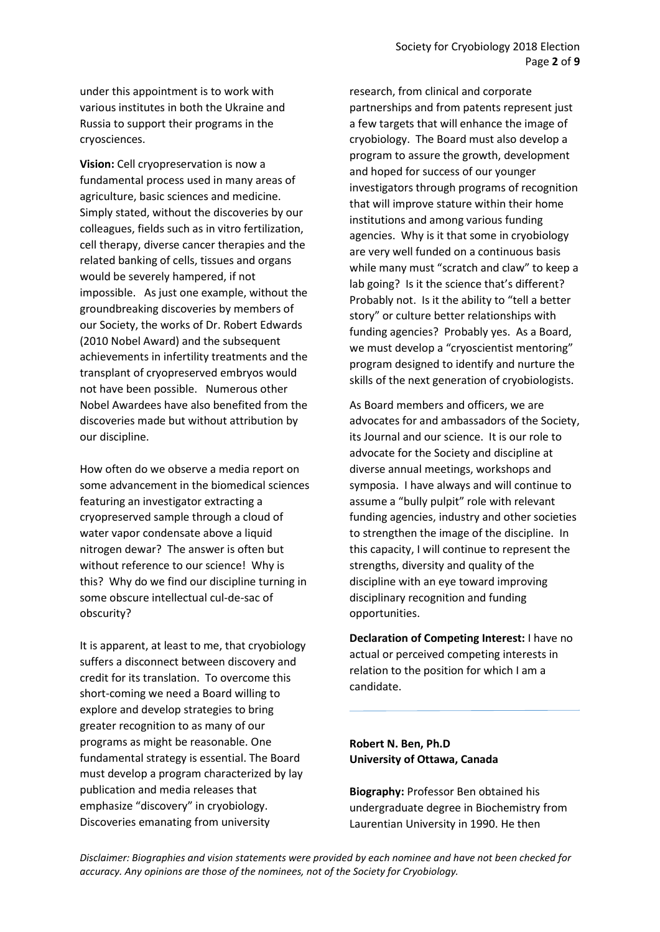under this appointment is to work with various institutes in both the Ukraine and Russia to support their programs in the cryosciences.

Vision: Cell cryopreservation is now a fundamental process used in many areas of agriculture, basic sciences and medicine. Simply stated, without the discoveries by our colleagues, fields such as in vitro fertilization, cell therapy, diverse cancer therapies and the related banking of cells, tissues and organs would be severely hampered, if not impossible. As just one example, without the groundbreaking discoveries by members of our Society, the works of Dr. Robert Edwards (2010 Nobel Award) and the subsequent achievements in infertility treatments and the transplant of cryopreserved embryos would not have been possible. Numerous other Nobel Awardees have also benefited from the discoveries made but without attribution by our discipline.

How often do we observe a media report on some advancement in the biomedical sciences featuring an investigator extracting a cryopreserved sample through a cloud of water vapor condensate above a liquid nitrogen dewar? The answer is often but without reference to our science! Why is this? Why do we find our discipline turning in some obscure intellectual cul-de-sac of obscurity?

It is apparent, at least to me, that cryobiology suffers a disconnect between discovery and credit for its translation. To overcome this short-coming we need a Board willing to explore and develop strategies to bring greater recognition to as many of our programs as might be reasonable. One fundamental strategy is essential. The Board must develop a program characterized by lay publication and media releases that emphasize "discovery" in cryobiology. Discoveries emanating from university

research, from clinical and corporate partnerships and from patents represent just a few targets that will enhance the image of cryobiology. The Board must also develop a program to assure the growth, development and hoped for success of our younger investigators through programs of recognition that will improve stature within their home institutions and among various funding agencies. Why is it that some in cryobiology are very well funded on a continuous basis while many must "scratch and claw" to keep a lab going? Is it the science that's different? Probably not. Is it the ability to "tell a better story" or culture better relationships with funding agencies? Probably yes. As a Board, we must develop a "cryoscientist mentoring" program designed to identify and nurture the skills of the next generation of cryobiologists.

As Board members and officers, we are advocates for and ambassadors of the Society, its Journal and our science. It is our role to advocate for the Society and discipline at diverse annual meetings, workshops and symposia. I have always and will continue to assume a "bully pulpit" role with relevant funding agencies, industry and other societies to strengthen the image of the discipline. In this capacity, I will continue to represent the strengths, diversity and quality of the discipline with an eye toward improving disciplinary recognition and funding opportunities.

Declaration of Competing Interest: I have no actual or perceived competing interests in relation to the position for which I am a candidate.

### Robert N. Ben, Ph.D University of Ottawa, Canada

Biography: Professor Ben obtained his undergraduate degree in Biochemistry from Laurentian University in 1990. He then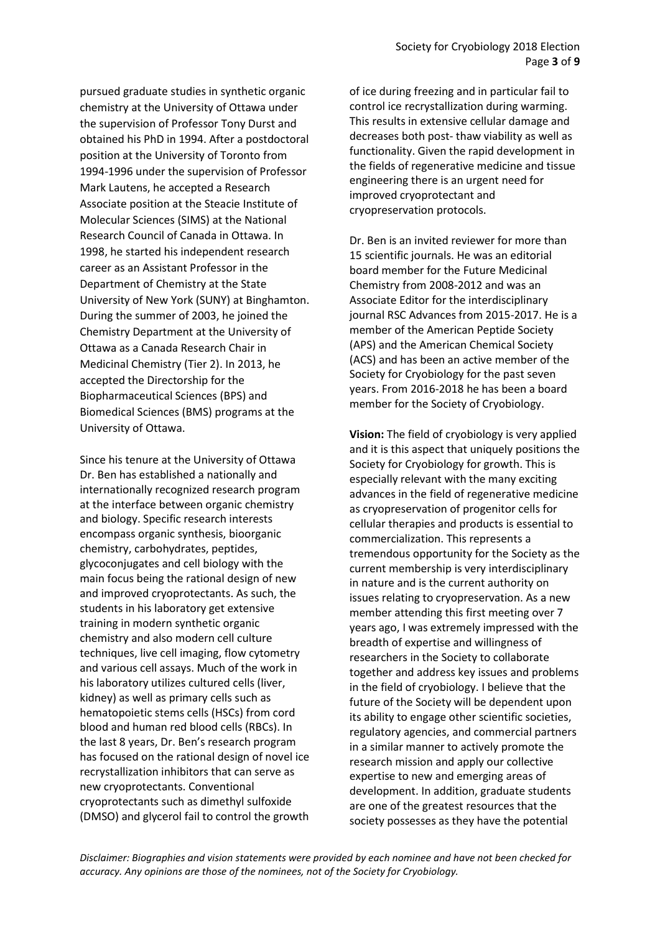pursued graduate studies in synthetic organic chemistry at the University of Ottawa under the supervision of Professor Tony Durst and obtained his PhD in 1994. After a postdoctoral position at the University of Toronto from 1994-1996 under the supervision of Professor Mark Lautens, he accepted a Research Associate position at the Steacie Institute of Molecular Sciences (SIMS) at the National Research Council of Canada in Ottawa. In 1998, he started his independent research career as an Assistant Professor in the Department of Chemistry at the State University of New York (SUNY) at Binghamton. During the summer of 2003, he joined the Chemistry Department at the University of Ottawa as a Canada Research Chair in Medicinal Chemistry (Tier 2). In 2013, he accepted the Directorship for the Biopharmaceutical Sciences (BPS) and Biomedical Sciences (BMS) programs at the University of Ottawa.

Since his tenure at the University of Ottawa Dr. Ben has established a nationally and internationally recognized research program at the interface between organic chemistry and biology. Specific research interests encompass organic synthesis, bioorganic chemistry, carbohydrates, peptides, glycoconjugates and cell biology with the main focus being the rational design of new and improved cryoprotectants. As such, the students in his laboratory get extensive training in modern synthetic organic chemistry and also modern cell culture techniques, live cell imaging, flow cytometry and various cell assays. Much of the work in his laboratory utilizes cultured cells (liver, kidney) as well as primary cells such as hematopoietic stems cells (HSCs) from cord blood and human red blood cells (RBCs). In the last 8 years, Dr. Ben's research program has focused on the rational design of novel ice recrystallization inhibitors that can serve as new cryoprotectants. Conventional cryoprotectants such as dimethyl sulfoxide (DMSO) and glycerol fail to control the growth

of ice during freezing and in particular fail to control ice recrystallization during warming. This results in extensive cellular damage and decreases both post- thaw viability as well as functionality. Given the rapid development in the fields of regenerative medicine and tissue engineering there is an urgent need for improved cryoprotectant and cryopreservation protocols.

Dr. Ben is an invited reviewer for more than 15 scientific journals. He was an editorial board member for the Future Medicinal Chemistry from 2008-2012 and was an Associate Editor for the interdisciplinary journal RSC Advances from 2015-2017. He is a member of the American Peptide Society (APS) and the American Chemical Society (ACS) and has been an active member of the Society for Cryobiology for the past seven years. From 2016-2018 he has been a board member for the Society of Cryobiology.

Vision: The field of cryobiology is very applied and it is this aspect that uniquely positions the Society for Cryobiology for growth. This is especially relevant with the many exciting advances in the field of regenerative medicine as cryopreservation of progenitor cells for cellular therapies and products is essential to commercialization. This represents a tremendous opportunity for the Society as the current membership is very interdisciplinary in nature and is the current authority on issues relating to cryopreservation. As a new member attending this first meeting over 7 years ago, I was extremely impressed with the breadth of expertise and willingness of researchers in the Society to collaborate together and address key issues and problems in the field of cryobiology. I believe that the future of the Society will be dependent upon its ability to engage other scientific societies, regulatory agencies, and commercial partners in a similar manner to actively promote the research mission and apply our collective expertise to new and emerging areas of development. In addition, graduate students are one of the greatest resources that the society possesses as they have the potential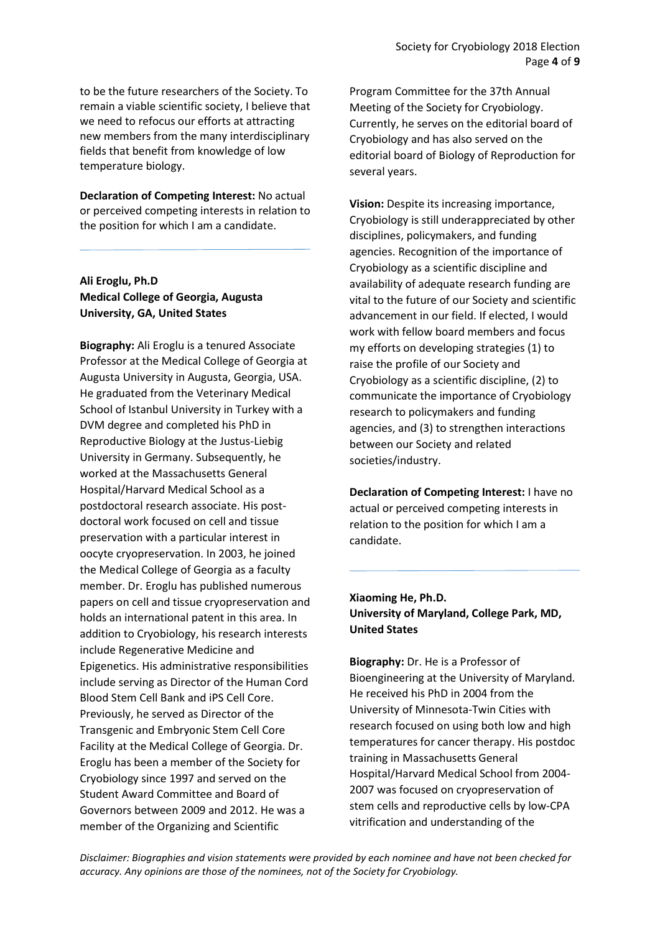to be the future researchers of the Society. To remain a viable scientific society, I believe that we need to refocus our efforts at attracting new members from the many interdisciplinary fields that benefit from knowledge of low temperature biology.

Declaration of Competing Interest: No actual or perceived competing interests in relation to the position for which I am a candidate.

# Ali Eroglu, Ph.D Medical College of Georgia, Augusta University, GA, United States

Biography: Ali Eroglu is a tenured Associate Professor at the Medical College of Georgia at Augusta University in Augusta, Georgia, USA. He graduated from the Veterinary Medical School of Istanbul University in Turkey with a DVM degree and completed his PhD in Reproductive Biology at the Justus-Liebig University in Germany. Subsequently, he worked at the Massachusetts General Hospital/Harvard Medical School as a postdoctoral research associate. His postdoctoral work focused on cell and tissue preservation with a particular interest in oocyte cryopreservation. In 2003, he joined the Medical College of Georgia as a faculty member. Dr. Eroglu has published numerous papers on cell and tissue cryopreservation and holds an international patent in this area. In addition to Cryobiology, his research interests include Regenerative Medicine and Epigenetics. His administrative responsibilities include serving as Director of the Human Cord Blood Stem Cell Bank and iPS Cell Core. Previously, he served as Director of the Transgenic and Embryonic Stem Cell Core Facility at the Medical College of Georgia. Dr. Eroglu has been a member of the Society for Cryobiology since 1997 and served on the Student Award Committee and Board of Governors between 2009 and 2012. He was a member of the Organizing and Scientific

Program Committee for the 37th Annual Meeting of the Society for Cryobiology. Currently, he serves on the editorial board of Cryobiology and has also served on the editorial board of Biology of Reproduction for several years.

Vision: Despite its increasing importance, Cryobiology is still underappreciated by other disciplines, policymakers, and funding agencies. Recognition of the importance of Cryobiology as a scientific discipline and availability of adequate research funding are vital to the future of our Society and scientific advancement in our field. If elected, I would work with fellow board members and focus my efforts on developing strategies (1) to raise the profile of our Society and Cryobiology as a scientific discipline, (2) to communicate the importance of Cryobiology research to policymakers and funding agencies, and (3) to strengthen interactions between our Society and related societies/industry.

Declaration of Competing Interest: I have no actual or perceived competing interests in relation to the position for which I am a candidate.

# Xiaoming He, Ph.D. University of Maryland, College Park, MD, United States

Biography: Dr. He is a Professor of Bioengineering at the University of Maryland. He received his PhD in 2004 from the University of Minnesota-Twin Cities with research focused on using both low and high temperatures for cancer therapy. His postdoc training in Massachusetts General Hospital/Harvard Medical School from 2004- 2007 was focused on cryopreservation of stem cells and reproductive cells by low-CPA vitrification and understanding of the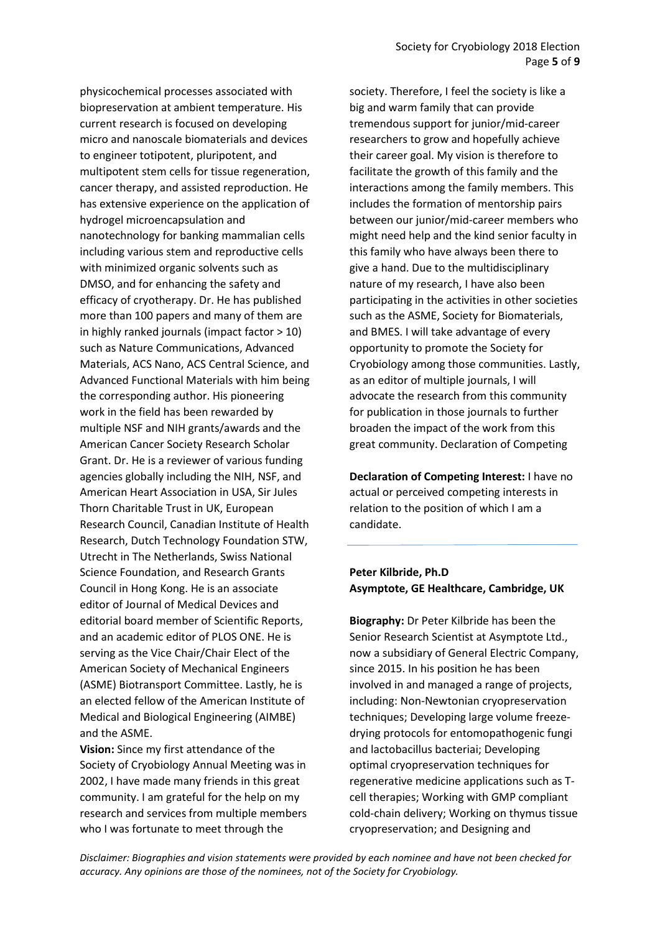physicochemical processes associated with biopreservation at ambient temperature. His current research is focused on developing micro and nanoscale biomaterials and devices to engineer totipotent, pluripotent, and multipotent stem cells for tissue regeneration, cancer therapy, and assisted reproduction. He has extensive experience on the application of hydrogel microencapsulation and nanotechnology for banking mammalian cells including various stem and reproductive cells with minimized organic solvents such as DMSO, and for enhancing the safety and efficacy of cryotherapy. Dr. He has published more than 100 papers and many of them are in highly ranked journals (impact factor > 10) such as Nature Communications, Advanced Materials, ACS Nano, ACS Central Science, and Advanced Functional Materials with him being the corresponding author. His pioneering work in the field has been rewarded by multiple NSF and NIH grants/awards and the American Cancer Society Research Scholar Grant. Dr. He is a reviewer of various funding agencies globally including the NIH, NSF, and American Heart Association in USA, Sir Jules Thorn Charitable Trust in UK, European Research Council, Canadian Institute of Health Research, Dutch Technology Foundation STW, Utrecht in The Netherlands, Swiss National Science Foundation, and Research Grants Council in Hong Kong. He is an associate editor of Journal of Medical Devices and editorial board member of Scientific Reports, and an academic editor of PLOS ONE. He is serving as the Vice Chair/Chair Elect of the American Society of Mechanical Engineers (ASME) Biotransport Committee. Lastly, he is an elected fellow of the American Institute of Medical and Biological Engineering (AIMBE) and the ASME.

Vision: Since my first attendance of the Society of Cryobiology Annual Meeting was in 2002, I have made many friends in this great community. I am grateful for the help on my research and services from multiple members who I was fortunate to meet through the

society. Therefore, I feel the society is like a big and warm family that can provide tremendous support for junior/mid-career researchers to grow and hopefully achieve their career goal. My vision is therefore to facilitate the growth of this family and the interactions among the family members. This includes the formation of mentorship pairs between our junior/mid-career members who might need help and the kind senior faculty in this family who have always been there to give a hand. Due to the multidisciplinary nature of my research, I have also been participating in the activities in other societies such as the ASME, Society for Biomaterials, and BMES. I will take advantage of every opportunity to promote the Society for Cryobiology among those communities. Lastly, as an editor of multiple journals, I will advocate the research from this community for publication in those journals to further broaden the impact of the work from this great community. Declaration of Competing

Declaration of Competing Interest: I have no actual or perceived competing interests in relation to the position of which I am a candidate.

### Peter Kilbride, Ph.D Asymptote, GE Healthcare, Cambridge, UK

Biography: Dr Peter Kilbride has been the Senior Research Scientist at Asymptote Ltd., now a subsidiary of General Electric Company, since 2015. In his position he has been involved in and managed a range of projects, including: Non-Newtonian cryopreservation techniques; Developing large volume freezedrying protocols for entomopathogenic fungi and lactobacillus bacteriai; Developing optimal cryopreservation techniques for regenerative medicine applications such as Tcell therapies; Working with GMP compliant cold-chain delivery; Working on thymus tissue cryopreservation; and Designing and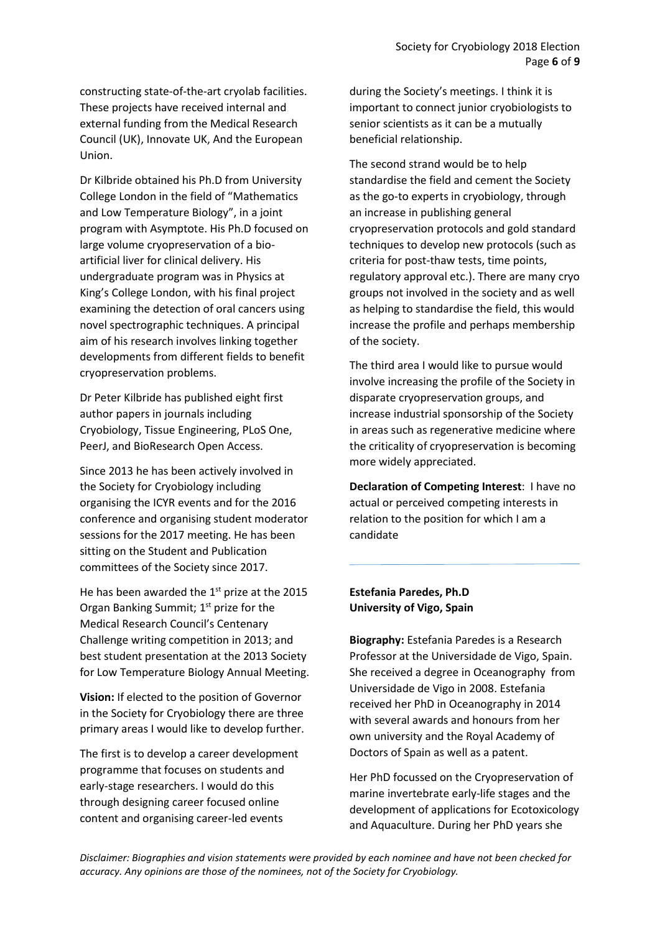constructing state-of-the-art cryolab facilities. These projects have received internal and external funding from the Medical Research Council (UK), Innovate UK, And the European Union.

Dr Kilbride obtained his Ph.D from University College London in the field of "Mathematics and Low Temperature Biology", in a joint program with Asymptote. His Ph.D focused on large volume cryopreservation of a bioartificial liver for clinical delivery. His undergraduate program was in Physics at King's College London, with his final project examining the detection of oral cancers using novel spectrographic techniques. A principal aim of his research involves linking together developments from different fields to benefit cryopreservation problems.

Dr Peter Kilbride has published eight first author papers in journals including Cryobiology, Tissue Engineering, PLoS One, PeerJ, and BioResearch Open Access.

Since 2013 he has been actively involved in the Society for Cryobiology including organising the ICYR events and for the 2016 conference and organising student moderator sessions for the 2017 meeting. He has been sitting on the Student and Publication committees of the Society since 2017.

He has been awarded the  $1<sup>st</sup>$  prize at the 2015 Organ Banking Summit; 1<sup>st</sup> prize for the Medical Research Council's Centenary Challenge writing competition in 2013; and best student presentation at the 2013 Society for Low Temperature Biology Annual Meeting.

Vision: If elected to the position of Governor in the Society for Cryobiology there are three primary areas I would like to develop further.

The first is to develop a career development programme that focuses on students and early-stage researchers. I would do this through designing career focused online content and organising career-led events

during the Society's meetings. I think it is important to connect junior cryobiologists to senior scientists as it can be a mutually beneficial relationship.

The second strand would be to help standardise the field and cement the Society as the go-to experts in cryobiology, through an increase in publishing general cryopreservation protocols and gold standard techniques to develop new protocols (such as criteria for post-thaw tests, time points, regulatory approval etc.). There are many cryo groups not involved in the society and as well as helping to standardise the field, this would increase the profile and perhaps membership of the society.

The third area I would like to pursue would involve increasing the profile of the Society in disparate cryopreservation groups, and increase industrial sponsorship of the Society in areas such as regenerative medicine where the criticality of cryopreservation is becoming more widely appreciated.

Declaration of Competing Interest: I have no actual or perceived competing interests in relation to the position for which I am a candidate

### Estefania Paredes, Ph.D University of Vigo, Spain

Biography: Estefania Paredes is a Research Professor at the Universidade de Vigo, Spain. She received a degree in Oceanography from Universidade de Vigo in 2008. Estefania received her PhD in Oceanography in 2014 with several awards and honours from her own university and the Royal Academy of Doctors of Spain as well as a patent.

Her PhD focussed on the Cryopreservation of marine invertebrate early-life stages and the development of applications for Ecotoxicology and Aquaculture. During her PhD years she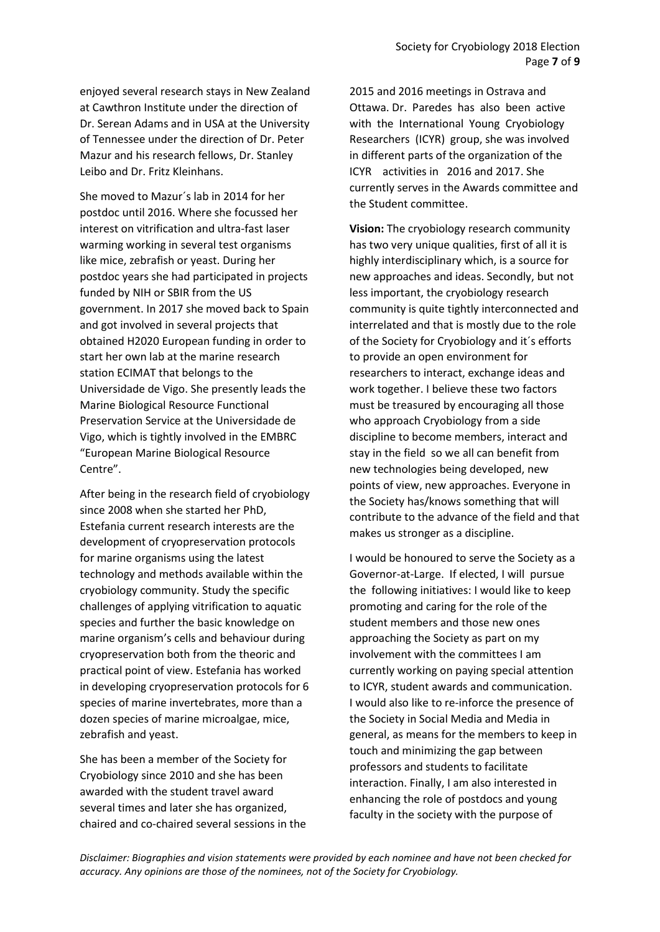enjoyed several research stays in New Zealand at Cawthron Institute under the direction of Dr. Serean Adams and in USA at the University of Tennessee under the direction of Dr. Peter Mazur and his research fellows, Dr. Stanley Leibo and Dr. Fritz Kleinhans.

She moved to Mazur´s lab in 2014 for her postdoc until 2016. Where she focussed her interest on vitrification and ultra-fast laser warming working in several test organisms like mice, zebrafish or yeast. During her postdoc years she had participated in projects funded by NIH or SBIR from the US government. In 2017 she moved back to Spain and got involved in several projects that obtained H2020 European funding in order to start her own lab at the marine research station ECIMAT that belongs to the Universidade de Vigo. She presently leads the Marine Biological Resource Functional Preservation Service at the Universidade de Vigo, which is tightly involved in the EMBRC "European Marine Biological Resource Centre".

After being in the research field of cryobiology since 2008 when she started her PhD, Estefania current research interests are the development of cryopreservation protocols for marine organisms using the latest technology and methods available within the cryobiology community. Study the specific challenges of applying vitrification to aquatic species and further the basic knowledge on marine organism's cells and behaviour during cryopreservation both from the theoric and practical point of view. Estefania has worked in developing cryopreservation protocols for 6 species of marine invertebrates, more than a dozen species of marine microalgae, mice, zebrafish and yeast.

She has been a member of the Society for Cryobiology since 2010 and she has been awarded with the student travel award several times and later she has organized, chaired and co-chaired several sessions in the

2015 and 2016 meetings in Ostrava and Ottawa. Dr. Paredes has also been active with the International Young Cryobiology Researchers (ICYR) group, she was involved in different parts of the organization of the ICYR activities in 2016 and 2017. She currently serves in the Awards committee and the Student committee.

Vision: The cryobiology research community has two very unique qualities, first of all it is highly interdisciplinary which, is a source for new approaches and ideas. Secondly, but not less important, the cryobiology research community is quite tightly interconnected and interrelated and that is mostly due to the role of the Society for Cryobiology and it´s efforts to provide an open environment for researchers to interact, exchange ideas and work together. I believe these two factors must be treasured by encouraging all those who approach Cryobiology from a side discipline to become members, interact and stay in the field so we all can benefit from new technologies being developed, new points of view, new approaches. Everyone in the Society has/knows something that will contribute to the advance of the field and that makes us stronger as a discipline.

I would be honoured to serve the Society as a Governor-at-Large. If elected, I will pursue the following initiatives: I would like to keep promoting and caring for the role of the student members and those new ones approaching the Society as part on my involvement with the committees I am currently working on paying special attention to ICYR, student awards and communication. I would also like to re-inforce the presence of the Society in Social Media and Media in general, as means for the members to keep in touch and minimizing the gap between professors and students to facilitate interaction. Finally, I am also interested in enhancing the role of postdocs and young faculty in the society with the purpose of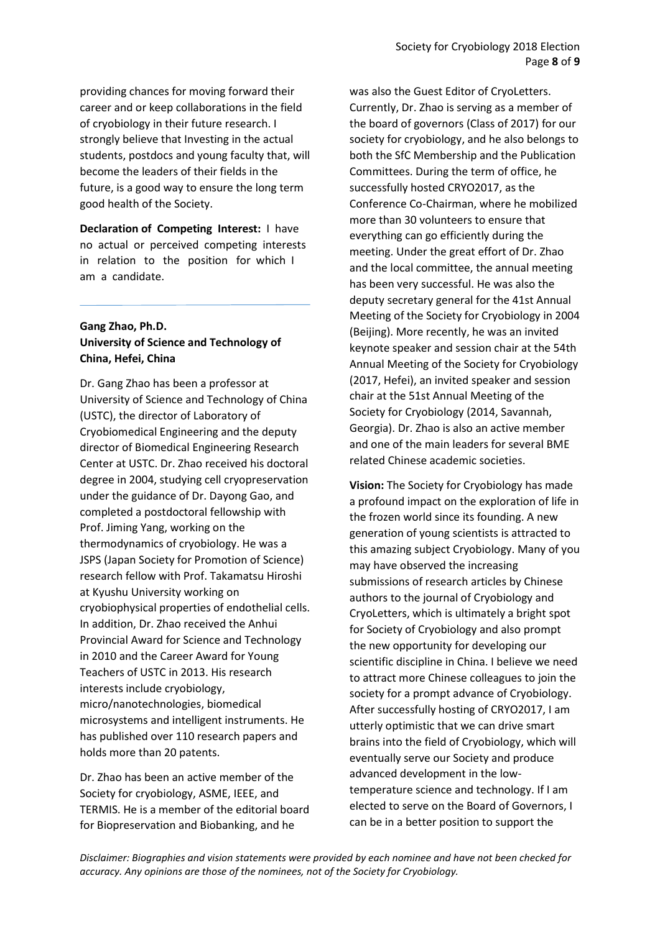providing chances for moving forward their career and or keep collaborations in the field of cryobiology in their future research. I strongly believe that Investing in the actual students, postdocs and young faculty that, will become the leaders of their fields in the future, is a good way to ensure the long term good health of the Society.

Declaration of Competing Interest: I have no actual or perceived competing interests in relation to the position for which I am a candidate.

### Gang Zhao, Ph.D. University of Science and Technology of China, Hefei, China

Dr. Gang Zhao has been a professor at University of Science and Technology of China (USTC), the director of Laboratory of Cryobiomedical Engineering and the deputy director of Biomedical Engineering Research Center at USTC. Dr. Zhao received his doctoral degree in 2004, studying cell cryopreservation under the guidance of Dr. Dayong Gao, and completed a postdoctoral fellowship with Prof. Jiming Yang, working on the thermodynamics of cryobiology. He was a JSPS (Japan Society for Promotion of Science) research fellow with Prof. Takamatsu Hiroshi at Kyushu University working on cryobiophysical properties of endothelial cells. In addition, Dr. Zhao received the Anhui Provincial Award for Science and Technology in 2010 and the Career Award for Young Teachers of USTC in 2013. His research interests include cryobiology, micro/nanotechnologies, biomedical microsystems and intelligent instruments. He has published over 110 research papers and holds more than 20 patents.

Dr. Zhao has been an active member of the Society for cryobiology, ASME, IEEE, and TERMIS. He is a member of the editorial board for Biopreservation and Biobanking, and he

was also the Guest Editor of CryoLetters. Currently, Dr. Zhao is serving as a member of the board of governors (Class of 2017) for our society for cryobiology, and he also belongs to both the SfC Membership and the Publication Committees. During the term of office, he successfully hosted CRYO2017, as the Conference Co-Chairman, where he mobilized more than 30 volunteers to ensure that everything can go efficiently during the meeting. Under the great effort of Dr. Zhao and the local committee, the annual meeting has been very successful. He was also the deputy secretary general for the 41st Annual Meeting of the Society for Cryobiology in 2004 (Beijing). More recently, he was an invited keynote speaker and session chair at the 54th Annual Meeting of the Society for Cryobiology (2017, Hefei), an invited speaker and session chair at the 51st Annual Meeting of the Society for Cryobiology (2014, Savannah, Georgia). Dr. Zhao is also an active member and one of the main leaders for several BME related Chinese academic societies.

Vision: The Society for Cryobiology has made a profound impact on the exploration of life in the frozen world since its founding. A new generation of young scientists is attracted to this amazing subject Cryobiology. Many of you may have observed the increasing submissions of research articles by Chinese authors to the journal of Cryobiology and CryoLetters, which is ultimately a bright spot for Society of Cryobiology and also prompt the new opportunity for developing our scientific discipline in China. I believe we need to attract more Chinese colleagues to join the society for a prompt advance of Cryobiology. After successfully hosting of CRYO2017, I am utterly optimistic that we can drive smart brains into the field of Cryobiology, which will eventually serve our Society and produce advanced development in the lowtemperature science and technology. If I am elected to serve on the Board of Governors, I can be in a better position to support the